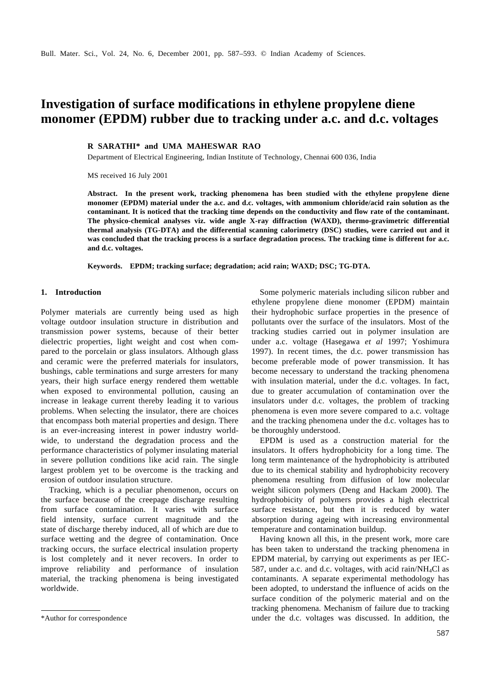# **Investigation of surface modifications in ethylene propylene diene monomer (EPDM) rubber due to tracking under a.c. and d.c. voltages**

# **R SARATHI\* and UMA MAHESWAR RAO**

Department of Electrical Engineering, Indian Institute of Technology, Chennai 600 036, India

MS received 16 July 2001

**Abstract. In the present work, tracking phenomena has been studied with the ethylene propylene diene monomer (EPDM) material under the a.c. and d.c. voltages, with ammonium chloride/acid rain solution as the contaminant. It is noticed that the tracking time depends on the conductivity and flow rate of the contaminant. The physico-chemical analyses viz. wide angle X-ray diffraction (WAXD), thermo-gravimetric differential thermal analysis (TG-DTA) and the differential scanning calorimetry (DSC) studies, were carried out and it was concluded that the tracking process is a surface degradation process. The tracking time is different for a.c. and d.c. voltages.**

**Keywords. EPDM; tracking surface; degradation; acid rain; WAXD; DSC; TG-DTA.**

## **1. Introduction**

Polymer materials are currently being used as high voltage outdoor insulation structure in distribution and transmission power systems, because of their better dielectric properties, light weight and cost when compared to the porcelain or glass insulators. Although glass and ceramic were the preferred materials for insulators, bushings, cable terminations and surge arresters for many years, their high surface energy rendered them wettable when exposed to environmental pollution, causing an increase in leakage current thereby leading it to various problems. When selecting the insulator, there are choices that encompass both material properties and design. There is an ever-increasing interest in power industry worldwide, to understand the degradation process and the performance characteristics of polymer insulating material in severe pollution conditions like acid rain. The single largest problem yet to be overcome is the tracking and erosion of outdoor insulation structure.

Tracking, which is a peculiar phenomenon, occurs on the surface because of the creepage discharge resulting from surface contamination. It varies with surface field intensity, surface current magnitude and the state of discharge thereby induced, all of which are due to surface wetting and the degree of contamination. Once tracking occurs, the surface electrical insulation property is lost completely and it never recovers. In order to improve reliability and performance of insulation material, the tracking phenomena is being investigated worldwide.

Some polymeric materials including silicon rubber and ethylene propylene diene monomer (EPDM) maintain their hydrophobic surface properties in the presence of pollutants over the surface of the insulators. Most of the tracking studies carried out in polymer insulation are under a.c. voltage (Hasegawa *et al* 1997; Yoshimura 1997). In recent times, the d.c. power transmission has become preferable mode of power transmission. It has become necessary to understand the tracking phenomena with insulation material, under the d.c. voltages. In fact, due to greater accumulation of contamination over the insulators under d.c. voltages, the problem of tracking phenomena is even more severe compared to a.c. voltage and the tracking phenomena under the d.c. voltages has to be thoroughly understood.

EPDM is used as a construction material for the insulators. It offers hydrophobicity for a long time. The long term maintenance of the hydrophobicity is attributed due to its chemical stability and hydrophobicity recovery phenomena resulting from diffusion of low molecular weight silicon polymers (Deng and Hackam 2000). The hydrophobicity of polymers provides a high electrical surface resistance, but then it is reduced by water absorption during ageing with increasing environmental temperature and contamination buildup.

Having known all this, in the present work, more care has been taken to understand the tracking phenomena in EPDM material, by carrying out experiments as per IEC-587, under a.c. and d.c. voltages, with acid rain/ $NH_4Cl$  as contaminants. A separate experimental methodology has been adopted, to understand the influence of acids on the surface condition of the polymeric material and on the tracking phenomena. Mechanism of failure due to tracking \*Author for correspondence under the d.c. voltages was discussed. In addition, the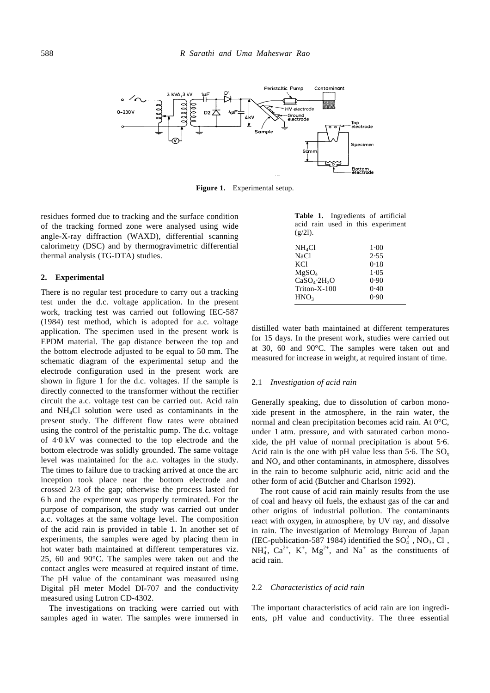

**Figure 1.** Experimental setup.

residues formed due to tracking and the surface condition of the tracking formed zone were analysed using wide angle-X-ray diffraction (WAXD), differential scanning calorimetry (DSC) and by thermogravimetric differential thermal analysis (TG-DTA) studies.

#### **2. Experimental**

There is no regular test procedure to carry out a tracking test under the d.c. voltage application. In the present work, tracking test was carried out following IEC-587 (1984) test method, which is adopted for a.c. voltage application. The specimen used in the present work is EPDM material. The gap distance between the top and the bottom electrode adjusted to be equal to 50 mm. The schematic diagram of the experimental setup and the electrode configuration used in the present work are shown in figure 1 for the d.c. voltages. If the sample is directly connected to the transformer without the rectifier circuit the a.c. voltage test can be carried out. Acid rain and NH4Cl solution were used as contaminants in the present study. The different flow rates were obtained using the control of the peristaltic pump. The d.c. voltage of 4⋅0 kV was connected to the top electrode and the bottom electrode was solidly grounded. The same voltage level was maintained for the a.c. voltages in the study. The times to failure due to tracking arrived at once the arc inception took place near the bottom electrode and crossed 2/3 of the gap; otherwise the process lasted for 6 h and the experiment was properly terminated. For the purpose of comparison, the study was carried out under a.c. voltages at the same voltage level. The composition of the acid rain is provided in table 1. In another set of experiments, the samples were aged by placing them in hot water bath maintained at different temperatures viz. 25, 60 and 90°C. The samples were taken out and the contact angles were measured at required instant of time. The pH value of the contaminant was measured using Digital pH meter Model DI-707 and the conductivity measured using Lutron CD-4302.

The investigations on tracking were carried out with samples aged in water. The samples were immersed in

| <b>Table 1.</b> Ingredients of artificial |  |  |  |
|-------------------------------------------|--|--|--|
| acid rain used in this experiment         |  |  |  |
| $(g/2l)$ .                                |  |  |  |

| $\left( \frac{1}{2} \right)$         |        |
|--------------------------------------|--------|
| NH <sub>4</sub> Cl                   | $1-00$ |
| <b>NaCl</b>                          | 2.55   |
| <b>KCI</b>                           | 0.18   |
| MgSO <sub>4</sub>                    | 1.05   |
| CaSO <sub>4</sub> ·2H <sub>2</sub> O | 0.90   |
| Triton-X-100                         | 0.40   |
| HNO <sub>3</sub>                     | 0.90   |
|                                      |        |

distilled water bath maintained at different temperatures for 15 days. In the present work, studies were carried out at 30, 60 and 90°C. The samples were taken out and measured for increase in weight, at required instant of time.

#### 2.1 *Investigation of acid rain*

Generally speaking, due to dissolution of carbon monoxide present in the atmosphere, in the rain water, the normal and clean precipitation becomes acid rain. At 0°C, under 1 atm. pressure, and with saturated carbon monoxide, the pH value of normal precipitation is about 5⋅6. Acid rain is the one with pH value less than 5⋅6. The SO*<sup>x</sup>* and  $NO<sub>x</sub>$  and other contaminants, in atmosphere, dissolves in the rain to become sulphuric acid, nitric acid and the other form of acid (Butcher and Charlson 1992).

The root cause of acid rain mainly results from the use of coal and heavy oil fuels, the exhaust gas of the car and other origins of industrial pollution. The contaminants react with oxygen, in atmosphere, by UV ray, and dissolve in rain. The investigation of Metrology Bureau of Japan (IEC-publication-587 1984) identified the  $SO_4^{2-}$ , NO<sub>3</sub>, Cl<sup>-</sup>,  $NH_4^+$ ,  $Ca^{2+}$ ,  $K^+$ ,  $Mg^{2+}$ , and  $Na^+$  as the constituents of acid rain.

#### 2.2 *Characteristics of acid rain*

The important characteristics of acid rain are ion ingredients, pH value and conductivity. The three essential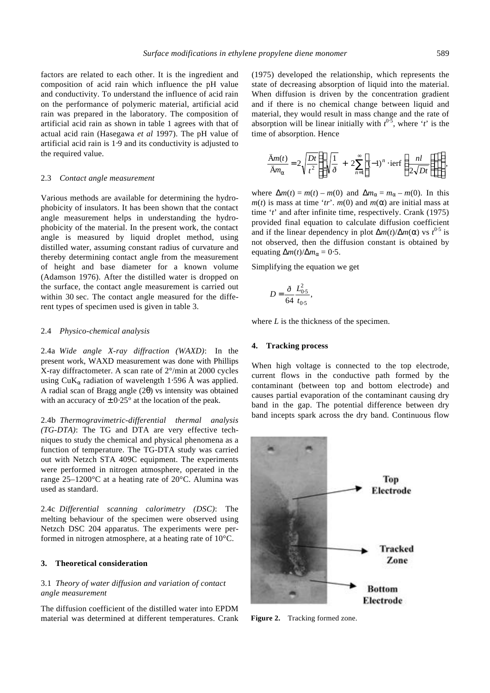factors are related to each other. It is the ingredient and composition of acid rain which influence the pH value and conductivity. To understand the influence of acid rain on the performance of polymeric material, artificial acid rain was prepared in the laboratory. The composition of artificial acid rain as shown in table 1 agrees with that of actual acid rain (Hasegawa *et al* 1997). The pH value of artificial acid rain is 1⋅9 and its conductivity is adjusted to the required value.

#### 2.3 *Contact angle measurement*

Various methods are available for determining the hydrophobicity of insulators. It has been shown that the contact angle measurement helps in understanding the hydrophobicity of the material. In the present work, the contact angle is measured by liquid droplet method, using distilled water, assuming constant radius of curvature and thereby determining contact angle from the measurement of height and base diameter for a known volume (Adamson 1976). After the distilled water is dropped on the surface, the contact angle measurement is carried out within 30 sec. The contact angle measured for the different types of specimen used is given in table 3.

### 2.4 *Physico-chemical analysis*

2.4a *Wide angle X-ray diffraction (WAXD)*: In the present work, WAXD measurement was done with Phillips X-ray diffractometer. A scan rate of 2°/min at 2000 cycles using CuK*a* radiation of wavelength 1⋅596 Å was applied. A radial scan of Bragg angle (2*q*) vs intensity was obtained with an accuracy of  $\pm$  0⋅25° at the location of the peak.

2.4b *Thermogravimetric-differential thermal analysis (TG-DTA)*: The TG and DTA are very effective techniques to study the chemical and physical phenomena as a function of temperature. The TG-DTA study was carried out with Netzch STA 409C equipment. The experiments were performed in nitrogen atmosphere, operated in the range 25–1200°C at a heating rate of 20°C. Alumina was used as standard.

2.4c *Differential scanning calorimetry (DSC)*: The melting behaviour of the specimen were observed using Netzch DSC 204 apparatus. The experiments were performed in nitrogen atmosphere, at a heating rate of 10°C.

### **3. Theoretical consideration**

# 3.1 *Theory of water diffusion and variation of contact angle measurement*

The diffusion coefficient of the distilled water into EPDM material was determined at different temperatures. Crank (1975) developed the relationship, which represents the state of decreasing absorption of liquid into the material. When diffusion is driven by the concentration gradient and if there is no chemical change between liquid and material, they would result in mass change and the rate of absorption will be linear initially with  $t^{0.5}$ , where '*t*' is the time of absorption. Hence

$$
\frac{\ddot{\mathbf{A}}m(t)}{\ddot{\mathbf{A}}m_{\mathbf{a}}} = 2\sqrt{\frac{Dt}{t^2}} \left\{ \left[ \sqrt{\frac{1}{\delta}} + 2\sum_{n=1}^{\infty} \left[ (-1)^n \cdot \text{ierf}\left(\frac{nl}{2\sqrt{Dt}}\right) \right] \right] \right\},\,
$$

where  $\Delta m(t) = m(t) - m(0)$  and  $\Delta m_a = m_a - m(0)$ . In this  $m(t)$  is mass at time '*tr*'.  $m(0)$  and  $m(a)$  are initial mass at time '*t*' and after infinite time, respectively. Crank (1975) provided final equation to calculate diffusion coefficient and if the linear dependency in plot  $\Delta m(t)/\Delta m(\mathbf{a})$  vs  $t^{0.5}$  is not observed, then the diffusion constant is obtained by equating  $\Delta m(t)/\Delta m_\alpha = 0.5$ .

Simplifying the equation we get

$$
D = \frac{\delta}{64} \frac{L_{0.5}^2}{t_{0.5}},
$$

where *L* is the thickness of the specimen.

#### **4. Tracking process**

When high voltage is connected to the top electrode, current flows in the conductive path formed by the contaminant (between top and bottom electrode) and causes partial evaporation of the contaminant causing dry band in the gap. The potential difference between dry band incepts spark across the dry band. Continuous flow



**Figure 2.** Tracking formed zone.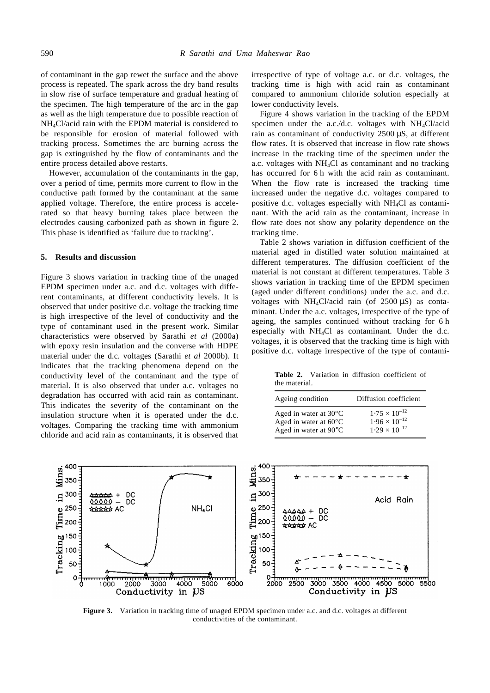of contaminant in the gap rewet the surface and the above process is repeated. The spark across the dry band results in slow rise of surface temperature and gradual heating of the specimen. The high temperature of the arc in the gap as well as the high temperature due to possible reaction of NH4Cl/acid rain with the EPDM material is considered to be responsible for erosion of material followed with tracking process. Sometimes the arc burning across the gap is extinguished by the flow of contaminants and the entire process detailed above restarts.

However, accumulation of the contaminants in the gap, over a period of time, permits more current to flow in the conductive path formed by the contaminant at the same applied voltage. Therefore, the entire process is accelerated so that heavy burning takes place between the electrodes causing carbonized path as shown in figure 2. This phase is identified as 'failure due to tracking'.

## **5. Results and discussion**

Figure 3 shows variation in tracking time of the unaged EPDM specimen under a.c. and d.c. voltages with different contaminants, at different conductivity levels. It is observed that under positive d.c. voltage the tracking time is high irrespective of the level of conductivity and the type of contaminant used in the present work. Similar characteristics were observed by Sarathi *et al* (2000a) with epoxy resin insulation and the converse with HDPE material under the d.c. voltages (Sarathi *et al* 2000b). It indicates that the tracking phenomena depend on the conductivity level of the contaminant and the type of material. It is also observed that under a.c. voltages no degradation has occurred with acid rain as contaminant. This indicates the severity of the contaminant on the insulation structure when it is operated under the d.c. voltages. Comparing the tracking time with ammonium chloride and acid rain as contaminants, it is observed that irrespective of type of voltage a.c. or d.c. voltages, the tracking time is high with acid rain as contaminant compared to ammonium chloride solution especially at lower conductivity levels.

Figure 4 shows variation in the tracking of the EPDM specimen under the a.c./d.c. voltages with  $NH<sub>4</sub>Cl/acid$ rain as contaminant of conductivity 2500 μS, at different flow rates. It is observed that increase in flow rate shows increase in the tracking time of the specimen under the a.c. voltages with  $NH<sub>4</sub>Cl$  as contaminant and no tracking has occurred for 6 h with the acid rain as contaminant. When the flow rate is increased the tracking time increased under the negative d.c. voltages compared to positive d.c. voltages especially with NH4Cl as contaminant. With the acid rain as the contaminant, increase in flow rate does not show any polarity dependence on the tracking time.

Table 2 shows variation in diffusion coefficient of the material aged in distilled water solution maintained at different temperatures. The diffusion coefficient of the material is not constant at different temperatures. Table 3 shows variation in tracking time of the EPDM specimen (aged under different conditions) under the a.c. and d.c. voltages with  $NH_4Cl/\text{acid rain}$  (of 2500  $\mu$ S) as contaminant. Under the a.c. voltages, irrespective of the type of ageing, the samples continued without tracking for 6 h especially with  $NH<sub>4</sub>Cl$  as contaminant. Under the d.c. voltages, it is observed that the tracking time is high with positive d.c. voltage irrespective of the type of contami-

**Table 2.** Variation in diffusion coefficient of the material.

| Ageing condition                | Diffusion coefficient  |  |  |  |  |
|---------------------------------|------------------------|--|--|--|--|
| Aged in water at $30^{\circ}$ C | $1.75 \times 10^{-12}$ |  |  |  |  |
| Aged in water at $60^{\circ}$ C | $1.96 \times 10^{-12}$ |  |  |  |  |
| Aged in water at $90^{\circ}$ C | $1.29 \times 10^{-12}$ |  |  |  |  |



**Figure 3.** Variation in tracking time of unaged EPDM specimen under a.c. and d.c. voltages at different conductivities of the contaminant.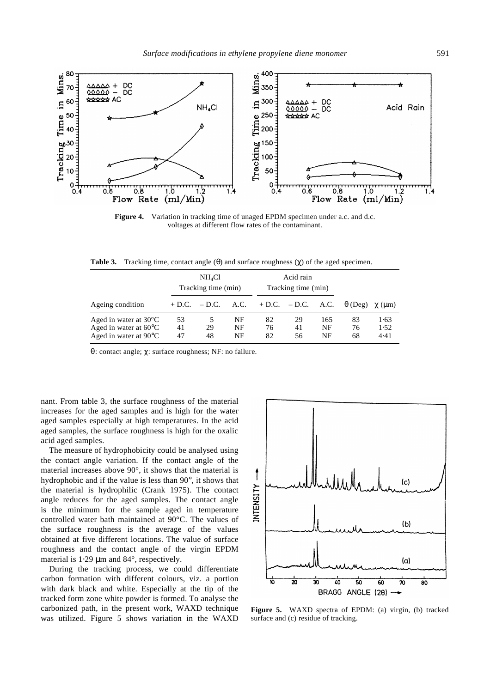

Figure 4. Variation in tracking time of unaged EPDM specimen under a.c. and d.c. voltages at different flow rates of the contaminant.

**Table 3.** Tracking time, contact angle (*q*) and surface roughness (*c*) of the aged specimen.

|                                                                                                       |                | NH <sub>4</sub> Cl<br>Tracking time (min) |                |                                           | Acid rain<br>Tracking time (min) |                 |                |                      |
|-------------------------------------------------------------------------------------------------------|----------------|-------------------------------------------|----------------|-------------------------------------------|----------------------------------|-----------------|----------------|----------------------|
|                                                                                                       |                |                                           |                |                                           |                                  |                 |                |                      |
| Ageing condition                                                                                      |                |                                           |                | $+ D.C. - D.C.$ A.C. $+ D.C. - D.C.$ A.C. |                                  |                 | $q$ (Deg)      | $c$ (um)             |
| Aged in water at $30^{\circ}$ C<br>Aged in water at $60^{\circ}$ C<br>Aged in water at $90^{\circ}$ C | 53<br>41<br>47 | 5<br>29<br>48                             | NF<br>NF<br>NF | 82<br>76<br>82                            | 29<br>41<br>56                   | 165<br>NF<br>NF | 83<br>76<br>68 | 1.63<br>1.52<br>4.41 |

*q*: contact angle; *c*: surface roughness; NF: no failure.

nant. From table 3, the surface roughness of the material increases for the aged samples and is high for the water aged samples especially at high temperatures. In the acid aged samples, the surface roughness is high for the oxalic acid aged samples.

The measure of hydrophobicity could be analysed using the contact angle variation. If the contact angle of the material increases above 90°, it shows that the material is hydrophobic and if the value is less than 90°, it shows that the material is hydrophilic (Crank 1975). The contact angle reduces for the aged samples. The contact angle is the minimum for the sample aged in temperature controlled water bath maintained at 90°C. The values of the surface roughness is the average of the values obtained at five different locations. The value of surface roughness and the contact angle of the virgin EPDM material is 1⋅29 μm and 84°, respectively.

During the tracking process, we could differentiate carbon formation with different colours, viz. a portion with dark black and white. Especially at the tip of the tracked form zone white powder is formed. To analyse the carbonized path, in the present work, WAXD technique was utilized. Figure 5 shows variation in the WAXD



**Figure 5.** WAXD spectra of EPDM: (a) virgin, (b) tracked surface and (c) residue of tracking.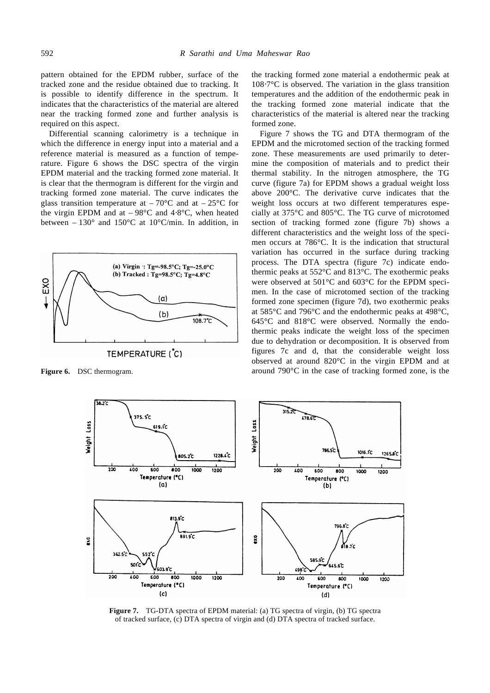pattern obtained for the EPDM rubber, surface of the tracked zone and the residue obtained due to tracking. It is possible to identify difference in the spectrum. It indicates that the characteristics of the material are altered near the tracking formed zone and further analysis is required on this aspect.

Differential scanning calorimetry is a technique in which the difference in energy input into a material and a reference material is measured as a function of temperature. Figure 6 shows the DSC spectra of the virgin EPDM material and the tracking formed zone material. It is clear that the thermogram is different for the virgin and tracking formed zone material. The curve indicates the glass transition temperature at  $-70^{\circ}$ C and at  $-25^{\circ}$ C for the virgin EPDM and at  $-98^{\circ}$ C and 4⋅8 $^{\circ}$ C, when heated between –  $130^{\circ}$  and  $150^{\circ}$ C at  $10^{\circ}$ C/min. In addition, in



# TEMPERATURE (C)

the tracking formed zone material a endothermic peak at 108⋅7°C is observed. The variation in the glass transition temperatures and the addition of the endothermic peak in the tracking formed zone material indicate that the characteristics of the material is altered near the tracking formed zone.

Figure 7 shows the TG and DTA thermogram of the EPDM and the microtomed section of the tracking formed zone. These measurements are used primarily to determine the composition of materials and to predict their thermal stability. In the nitrogen atmosphere, the TG curve (figure 7a) for EPDM shows a gradual weight loss above 200°C. The derivative curve indicates that the weight loss occurs at two different temperatures especially at 375°C and 805°C. The TG curve of microtomed section of tracking formed zone (figure 7b) shows a different characteristics and the weight loss of the specimen occurs at 786°C. It is the indication that structural variation has occurred in the surface during tracking process. The DTA spectra (figure 7c) indicate endothermic peaks at 552°C and 813°C. The exothermic peaks were observed at 501°C and 603°C for the EPDM specimen. In the case of microtomed section of the tracking formed zone specimen (figure 7d), two exothermic peaks at 585°C and 796°C and the endothermic peaks at 498°C, 645°C and 818°C were observed. Normally the endothermic peaks indicate the weight loss of the specimen due to dehydration or decomposition. It is observed from figures 7c and d, that the considerable weight loss observed at around 820°C in the virgin EPDM and at **Figure 6.** DSC thermogram. **around 790°C** in the case of tracking formed zone, is the



**Figure 7.** TG-DTA spectra of EPDM material: (a) TG spectra of virgin, (b) TG spectra of tracked surface, (c) DTA spectra of virgin and (d) DTA spectra of tracked surface.